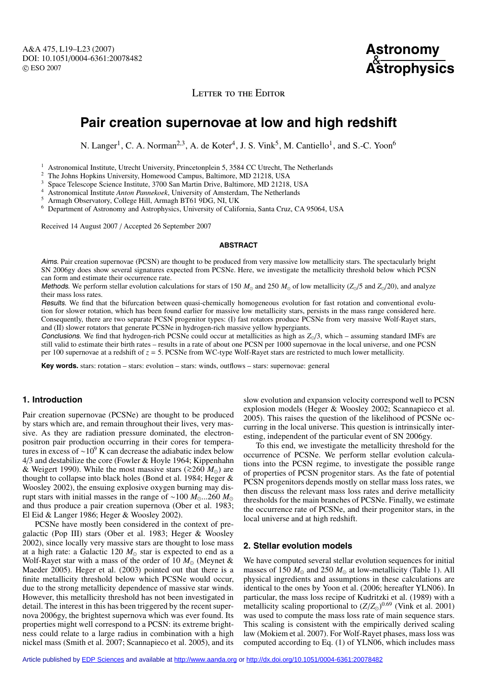**Astronomy** & **Astrophysics**

LETTER TO THE EDITOR

# **Pair creation supernovae at low and high redshift**

N. Langer<sup>1</sup>, C. A. Norman<sup>2,3</sup>, A. de Koter<sup>4</sup>, J. S. Vink<sup>5</sup>, M. Cantiello<sup>1</sup>, and S.-C. Yoon<sup>6</sup>

<sup>1</sup> Astronomical Institute, Utrecht University, Princetonplein 5, 3584 CC Utrecht, The Netherlands

<sup>2</sup> The Johns Hopkins University, Homewood Campus, Baltimore, MD 21218, USA  $^3$  Space Telescope Science Institute, 3700 San Martin Drive, Baltimore, MD 21218, USA

<sup>4</sup> Astronomical Institute *Anton Pannekoek*, University of Amsterdam, The Netherlands<br><sup>5</sup> Armagh Observatory, College Hill, Armagh BT61 9DG, NI, UK<br><sup>6</sup> Department of Astronomy and Astrophysics, University of California, S

Received 14 August 2007 / Accepted 26 September 2007

#### **ABSTRACT**

Aims. Pair creation supernovae (PCSN) are thought to be produced from very massive low metallicity stars. The spectacularly bright SN 2006gy does show several signatures expected from PCSNe. Here, we investigate the metallicity threshold below which PCSN can form and estimate their occurrence rate.

Methods. We perform stellar evolution calculations for stars of 150  $M_{\odot}$  and 250  $M_{\odot}$  of low metallicity (*Z*<sub>o</sub>/5 and *Z*<sub>o</sub>/20), and analyze their mass loss rates.

Results. We find that the bifurcation between quasi-chemically homogeneous evolution for fast rotation and conventional evolution for slower rotation, which has been found earlier for massive low metallicity stars, persists in the mass range considered here. Consequently, there are two separate PCSN progenitor types: (I) fast rotators produce PCSNe from very massive Wolf-Rayet stars, and (II) slower rotators that generate PCSNe in hydrogen-rich massive yellow hypergiants.

Conclusions. We find that hydrogen-rich PCSNe could occur at metallicities as high as  $Z_{\odot}/3$ , which – assuming standard IMFs are still valid to estimate their birth rates – results in a rate of about one PCSN per 1000 supernovae in the local universe, and one PCSN per 100 supernovae at a redshift of *z* = 5. PCSNe from WC-type Wolf-Rayet stars are restricted to much lower metallicity.

**Key words.** stars: rotation – stars: evolution – stars: winds, outflows – stars: supernovae: general

# **1. Introduction**

Pair creation supernovae (PCSNe) are thought to be produced by stars which are, and remain throughout their lives, very massive. As they are radiation pressure dominated, the electronpositron pair production occurring in their cores for temperatures in excess of  $\sim 10^9$  K can decrease the adiabatic index below 4/3 and destabilize the core (Fowler & Hoyle 1964; Kippenhahn & Weigert 1990). While the most massive stars (≥260 *M*<sub>o</sub>) are thought to collapse into black holes (Bond et al. 1984; Heger & Woosley 2002), the ensuing explosive oxygen burning may disrupt stars with initial masses in the range of ~100 *M*<sub>⊙</sub>...260 *M*<sub>☉</sub> and thus produce a pair creation supernova (Ober et al. 1983; El Eid & Langer 1986; Heger & Woosley 2002).

PCSNe have mostly been considered in the context of pregalactic (Pop III) stars (Ober et al. 1983; Heger & Woosley 2002), since locally very massive stars are thought to lose mass at a high rate: a Galactic  $120 M_{\odot}$  star is expected to end as a Wolf-Rayet star with a mass of the order of 10  $M_{\odot}$  (Meynet & Maeder 2005). Heger et al. (2003) pointed out that there is a finite metallicity threshold below which PCSNe would occur, due to the strong metallicity dependence of massive star winds. However, this metallicity threshold has not been investigated in detail. The interest in this has been triggered by the recent supernova 2006gy, the brightest supernova which was ever found. Its properties might well correspond to a PCSN: its extreme brightness could relate to a large radius in combination with a high nickel mass (Smith et al. 2007; Scannapieco et al. 2005), and its

slow evolution and expansion velocity correspond well to PCSN explosion models (Heger & Woosley 2002; Scannapieco et al. 2005). This raises the question of the likelihood of PCSNe occurring in the local universe. This question is intrinsically interesting, independent of the particular event of SN 2006gy.

To this end, we investigate the metallicity threshold for the occurrence of PCSNe. We perform stellar evolution calculations into the PCSN regime, to investigate the possible range of properties of PCSN progenitor stars. As the fate of potential PCSN progenitors depends mostly on stellar mass loss rates, we then discuss the relevant mass loss rates and derive metallicity thresholds for the main branches of PCSNe. Finally, we estimate the occurrence rate of PCSNe, and their progenitor stars, in the local universe and at high redshift.

## **2. Stellar evolution models**

We have computed several stellar evolution sequences for initial masses of 150  $M_{\odot}$  and 250  $M_{\odot}$  at low-metallicity (Table 1). All physical ingredients and assumptions in these calculations are identical to the ones by Yoon et al. (2006; hereafter YLN06). In particular, the mass loss recipe of Kudritzki et al. (1989) with a metallicity scaling proportional to  $(Z/Z_{\odot})^{0.69}$  (Vink et al. 2001) was used to compute the mass loss rate of main sequence stars. This scaling is consistent with the empirically derived scaling law (Mokiem et al. 2007). For Wolf-Rayet phases, mass loss was computed according to Eq. (1) of YLN06, which includes mass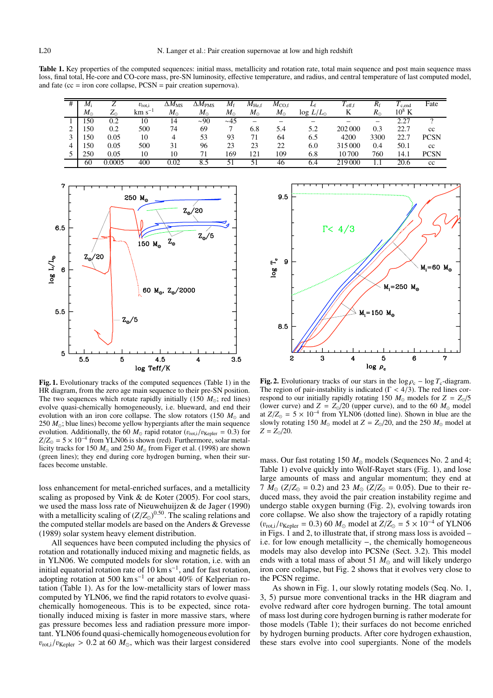Table 1. Key properties of the computed sequences: initial mass, metallicity and rotation rate, total main sequence and post main sequence mass loss, final total, He-core and CO-core mass, pre-SN luminosity, effective temperature, and radius, and central temperature of last computed model, and fate (cc = iron core collapse, PCSN = pair creation supernova).

| ₩ | М.          |             | $v_{\text{rot},i}$ | $\Delta M_\mathrm{MS}$ | $\Delta M_\mathrm{PMS}$ | $M_{\rm f}$ | $M_\mathrm{He,f}$ | $M_{\rm CO,f}$ |                    | $I_{\text{eff,f}}$ | $\pi_{f}$   | c.end    | Fate        |
|---|-------------|-------------|--------------------|------------------------|-------------------------|-------------|-------------------|----------------|--------------------|--------------------|-------------|----------|-------------|
|   | $M_{\odot}$ | $Z_{\odot}$ | $km s^{-1}$        | $M_{\odot}$            | $M_{\odot}$             | $M_{\odot}$ | $M_{\odot}$       | $M_{\odot}$    | $\log L/L_{\odot}$ | K                  | $R_{\odot}$ | $10^8$ K |             |
|   | 150         | 0.2         | 10                 | 14                     | $\sim 90$               | $\sim$ 45   |                   |                | –                  |                    |             | 2.27     |             |
|   | 150         | 0.2         | 500                | 74                     | 69                      | -           | 6.8               | 5.4            | 5.2                | 202 000            | 0.3         | 22.7     | $_{cc}$     |
|   | 150         | 0.05        | 10                 |                        | 53                      | 93          |                   | 64             | 6.5                | 4200               | 3300        | 22.7     | <b>PCSN</b> |
|   | 150         | 0.05        | 500                | 31                     | 96                      | 23          | 23                | 22             | 6.0                | 315000             | 0.4         | 50.1     | cc          |
|   | 250         | 0.05        | 10                 | 10                     |                         | 169         | 121               | 109            | 6.8                | 10700              | 760         | 14.1     | <b>PCSN</b> |
|   | 60          | 0.0005      | 400                | 0.02                   |                         | 51          | 51                | 46             | 6.4                | 219 000            | 1. 1        | 20.6     | cc          |



**Fig. 1.** Evolutionary tracks of the computed sequences (Table 1) in the HR diagram, from the zero age main sequence to their pre-SN position. The two sequences which rotate rapidly initially  $(150 M_{\odot};$  red lines) evolve quasi-chemically homogeneously, i.e. blueward, and end their evolution with an iron core collapse. The slow rotators  $(150 M_{\odot}$  and 250  $M_{\odot}$ ; blue lines) become yellow hypergiants after the main sequence evolution. Additionally, the 60  $M_{\odot}$  rapid rotator ( $v_{\text{rot,i}}/v_{\text{Kepler}} = 0.3$ ) for  $Z/Z_{\odot} = 5 \times 10^{-4}$  from YLN06 is shown (red). Furthermore, solar metallicity tracks for 150  $M_{\odot}$  and 250  $M_{\odot}$  from Figer et al. (1998) are shown (green lines); they end during core hydrogen burning, when their surfaces become unstable.

loss enhancement for metal-enriched surfaces, and a metallicity scaling as proposed by Vink & de Koter (2005). For cool stars, we used the mass loss rate of Nieuwehuijzen & de Jager (1990) with a metallicity scaling of  $(Z/Z_{\odot})^{0.50}$ . The scaling relations and the computed stellar models are based on the Anders & Grevesse (1989) solar system heavy element distribution.

All sequences have been computed including the physics of rotation and rotationally induced mixing and magnetic fields, as in YLN06. We computed models for slow rotation, i.e. with an initial equatorial rotation rate of 10 km s<sup>-1</sup>, and for fast rotation, adopting rotation at 500 km s<sup>-1</sup> or about 40% of Kelperian rotation (Table 1). As for the low-metallicity stars of lower mass computed by YLN06, we find the rapid rotators to evolve quasichemically homogeneous. This is to be expected, since rotationally induced mixing is faster in more massive stars, where gas pressure becomes less and radiation pressure more important. YLN06 found quasi-chemically homogeneous evolution for  $v_{\text{rot,i}}/v_{\text{Kepler}} > 0.2$  at 60  $M_{\odot}$ , which was their largest considered



**Fig. 2.** Evolutionary tracks of our stars in the  $\log \rho_c - \log T_c$ -diagram. The region of pair-instability is indicated  $(\Gamma < 4/3)$ . The red lines correspond to our initially rapidly rotating 150  $M_{\odot}$  models for  $Z = Z_{\odot}/5$ (lower curve) and  $Z = Z_{\odot}/20$  (upper curve), and to the 60  $M_{\odot}$  model at  $Z/Z_{\odot} = 5 \times 10^{-4}$  from YLN06 (dotted line). Shown in blue are the slowly rotating 150  $M_{\odot}$  model at  $Z = Z_{\odot}/20$ , and the 250  $M_{\odot}$  model at  $Z = Z_{\odot}/20.$ 

mass. Our fast rotating  $150 M_{\odot}$  models (Sequences No. 2 and 4; Table 1) evolve quickly into Wolf-Rayet stars (Fig. 1), and lose large amounts of mass and angular momentum; they end at 7  $M_{\odot}$  ( $Z/Z_{\odot} = 0.2$ ) and 23  $M_{\odot}$  ( $Z/Z_{\odot} = 0.05$ ). Due to their reduced mass, they avoid the pair creation instability regime and undergo stable oxygen burning (Fig. 2), evolving towards iron core collapse. We also show the trajectory of a rapidly rotating  $(v_{\text{rot,i}}/v_{\text{Kepler}} = 0.3)$  60  $M_{\odot}$  model at  $Z/Z_{\odot} = 5 \times 10^{-4}$  of YLN06 in Figs. 1 and 2, to illustrate that, if strong mass loss is avoided – i.e. for low enough metallicity −, the chemically homogeneous models may also develop into PCSNe (Sect. 3.2). This model ends with a total mass of about 51  $M_{\odot}$  and will likely undergo iron core collapse, but Fig. 2 shows that it evolves very close to the PCSN regime.

As shown in Fig. 1, our slowly rotating models (Seq. No. 1, 3, 5) pursue more conventional tracks in the HR diagram and evolve redward after core hydrogen burning. The total amount of mass lost during core hydrogen burning is rather moderate for those models (Table 1); their surfaces do not become enriched by hydrogen burning products. After core hydrogen exhaustion, these stars evolve into cool supergiants. None of the models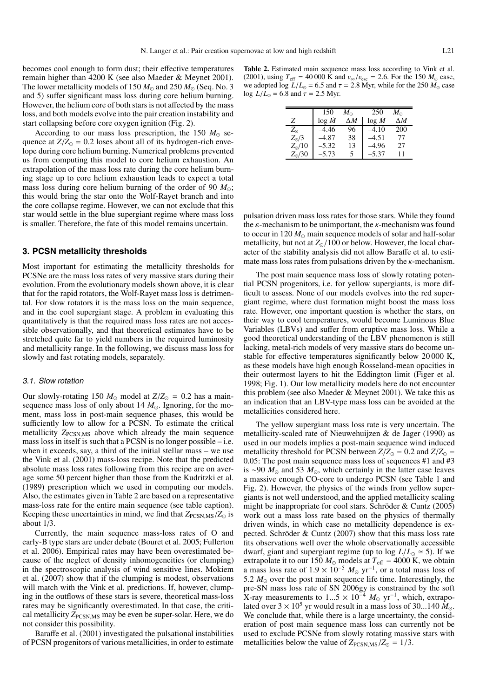becomes cool enough to form dust; their effective temperatures remain higher than 4200 K (see also Maeder & Meynet 2001). The lower metallicity models of  $150 M_{\odot}$  and  $250 M_{\odot}$  (Seq. No. 3) and 5) suffer significant mass loss during core helium burning. However, the helium core of both stars is not affected by the mass loss, and both models evolve into the pair creation instability and start collapsing before core oxygen ignition (Fig. 2).

According to our mass loss prescription, the 150  $M_{\odot}$  sequence at  $Z/Z_{\odot} = 0.2$  loses about all of its hydrogen-rich envelope during core helium burning. Numerical problems prevented us from computing this model to core helium exhaustion. An extrapolation of the mass loss rate during the core helium burning stage up to core helium exhaustion leads to expect a total mass loss during core helium burning of the order of 90  $M_{\odot}$ ; this would bring the star onto the Wolf-Rayet branch and into the core collapse regime. However, we can not exclude that this star would settle in the blue supergiant regime where mass loss is smaller. Therefore, the fate of this model remains uncertain.

# **3. PCSN metallicity thresholds**

Most important for estimating the metallicity thresholds for PCSNe are the mass loss rates of very massive stars during their evolution. From the evolutionary models shown above, it is clear that for the rapid rotators, the Wolf-Rayet mass loss is detrimental. For slow rotators it is the mass loss on the main sequence, and in the cool supergiant stage. A problem in evaluating this quantitatively is that the required mass loss rates are not accessible observationally, and that theoretical estimates have to be stretched quite far to yield numbers in the required luminosity and metallicity range. In the following, we discuss mass loss for slowly and fast rotating models, separately.

### 3.1. Slow rotation

Our slowly-rotating 150  $M_{\odot}$  model at  $Z/Z_{\odot} = 0.2$  has a mainsequence mass loss of only about 14  $M_{\odot}$ . Ignoring, for the moment, mass loss in post-main sequence phases, this would be sufficiently low to allow for a PCSN. To estimate the critical metallicity *Z*<sub>PCSN,MS</sub> above which already the main sequence mass loss in itself is such that a PCSN is no longer possible – i.e. when it exceeds, say, a third of the initial stellar mass – we use the Vink et al. (2001) mass-loss recipe. Note that the predicted absolute mass loss rates following from this recipe are on average some 50 percent higher than those from the Kudritzki et al. (1989) prescription which we used in computing our models. Also, the estimates given in Table 2 are based on a representative mass-loss rate for the entire main sequence (see table caption). Keeping these uncertainties in mind, we find that  $Z_{\text{PCSN,MS}}/Z_{\odot}$  is about 1/3.

Currently, the main sequence mass-loss rates of O and early-B type stars are under debate (Bouret et al. 2005; Fullerton et al. 2006). Empirical rates may have been overestimated because of the neglect of density inhomogeneities (or clumping) in the spectroscopic analysis of wind sensitive lines. Mokiem et al. (2007) show that if the clumping is modest, observations will match with the Vink et al. predictions. If, however, clumping in the outflows of these stars is severe, theoretical mass-loss rates may be significantly overestimated. In that case, the critical metallicity *Z*<sub>PCSN,MS</sub> may be even be super-solar. Here, we do not consider this possibility.

Baraffe et al. (2001) investigated the pulsational instabilities of PCSN progenitors of various metallicities, in order to estimate

**Table 2.** Estimated main sequence mass loss according to Vink et al. (2001), using  $T_{\text{eff}} = 40\,000 \text{ K}$  and  $v_{\infty}/v_{\text{esc}} = 2.6$ . For the 150  $M_{\odot}$  case, we adopted  $\log L/L_{\odot} = 6.5$  and  $\tau = 2.8$  Myr, while for the 250  $M_{\odot}$  case log  $L/L_{\odot} = 6.8$  and  $\tau = 2.5$  Myr.

|                | 150            | $M_{\odot}$ | 250   | $M_{\odot}$ |
|----------------|----------------|-------------|-------|-------------|
| Z              | $log\ \dot{M}$ | $\wedge M$  | log M | $\wedge M$  |
| $Z_{\odot}$    | -4.46          | 96          | 4.10  | 200         |
| $Z_{\odot}/3$  | 4.87           | 38          | 4.51  | 77          |
| $Z_{\odot}/10$ | $-5.32$        | 13          | -4.96 | 27          |
| $Z_{\odot}/30$ | -5.73          | 5           | -5 37 | 11          |

pulsation driven mass loss rates for those stars. While they found the  $\varepsilon$ -mechanism to be unimportant, the  $\kappa$ -mechanism was found to occur in 120  $M_{\odot}$  main sequence models of solar and half-solar metallicity, but not at  $Z_{\odot}/100$  or below. However, the local character of the stability analysis did not allow Baraffe et al. to estimate mass loss rates from pulsations driven by the  $\kappa$ -mechanism.

The post main sequence mass loss of slowly rotating potential PCSN progenitors, i.e. for yellow supergiants, is more difficult to assess. None of our models evolves into the red supergiant regime, where dust formation might boost the mass loss rate. However, one important question is whether the stars, on their way to cool temperatures, would become Luminous Blue Variables (LBVs) and suffer from eruptive mass loss. While a good theoretical understanding of the LBV phenomenon is still lacking, metal-rich models of very massive stars do become unstable for effective temperatures significantly below 20 000 K, as these models have high enough Rosseland-mean opacities in their outermost layers to hit the Eddington limit (Figer et al. 1998; Fig. 1). Our low metallicity models here do not encounter this problem (see also Maeder & Meynet 2001). We take this as an indication that an LBV-type mass loss can be avoided at the metallicities considered here.

The yellow supergiant mass loss rate is very uncertain. The metallicity-scaled rate of Nieuwehuijzen & de Jager (1990) as used in our models implies a post-main sequence wind induced metallicity threshold for PCSN between  $Z/Z_{\odot} = 0.2$  and  $Z/Z_{\odot} = 0.2$ 0.05: The post main sequence mass loss of sequences #1 and #3 is ∼90  $M_{\odot}$  and 53  $M_{\odot}$ , which certainly in the latter case leaves a massive enough CO-core to undergo PCSN (see Table 1 and Fig. 2). However, the physics of the winds from yellow supergiants is not well understood, and the applied metallicity scaling might be inappropriate for cool stars. Schröder & Cuntz (2005) work out a mass loss rate based on the physics of thermally driven winds, in which case no metallicity dependence is expected. Schröder & Cuntz (2007) show that this mass loss rate fits observations well over the whole observationally accessible dwarf, giant and supergiant regime (up to  $\log L/L_{\odot} \simeq 5$ ). If we extrapolate it to our 150  $M_{\odot}$  models at  $T_{\text{eff}} = 4000 \text{ K}$ , we obtain a mass loss rate of  $1.9 \times 10^{-5}$   $M_{\odot}$  yr<sup>-1</sup>, or a total mass loss of 5.2  $M_{\odot}$  over the post main sequence life time. Interestingly, the pre-SN mass loss rate of SN 2006gy is constrained by the soft X-ray measurements to 1...5 × 10<sup>-4</sup>  $M_{\odot}$  yr<sup>-1</sup>, which, extrapolated over  $3 \times 10^5$  yr would result in a mass loss of  $30...140$   $M_{\odot}$ . We conclude that, while there is a large uncertainty, the consideration of post main sequence mass loss can currently not be used to exclude PCSNe from slowly rotating massive stars with metallicities below the value of  $Z_{\text{PCSN,MS}}/Z_{\odot} = 1/3$ .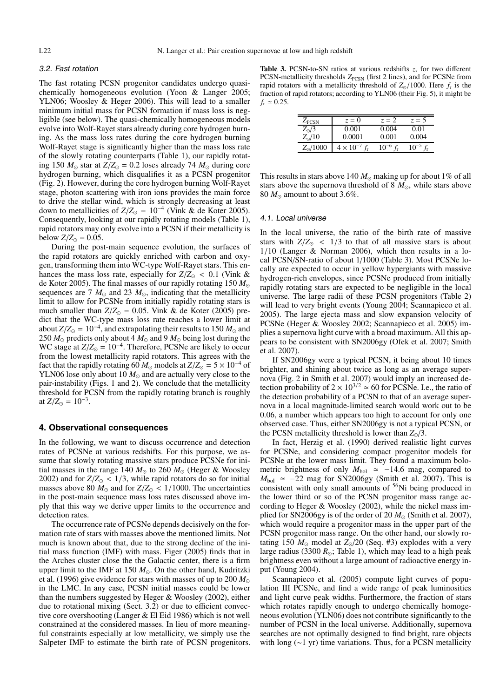#### 3.2. Fast rotation

The fast rotating PCSN progenitor candidates undergo quasichemically homogeneous evolution (Yoon & Langer 2005; YLN06; Woosley & Heger 2006). This will lead to a smaller minimum initial mass for PCSN formation if mass loss is negligible (see below). The quasi-chemically homogeneous models evolve into Wolf-Rayet stars already during core hydrogen burning. As the mass loss rates during the core hydrogen burning Wolf-Rayet stage is significantly higher than the mass loss rate of the slowly rotating counterparts (Table 1), our rapidly rotating 150  $M_{\odot}$  star at  $Z/Z_{\odot} = 0.2$  loses already 74  $M_{\odot}$  during core hydrogen burning, which disqualifies it as a PCSN progenitor (Fig. 2). However, during the core hydrogen burning Wolf-Rayet stage, photon scattering with iron ions provides the main force to drive the stellar wind, which is strongly decreasing at least down to metallicities of  $Z/Z_{\odot} = 10^{-4}$  (Vink & de Koter 2005). Consequently, looking at our rapidly rotating models (Table 1), rapid rotators may only evolve into a PCSN if their metallicity is  $below Z/Z_{\odot} = 0.05.$ 

During the post-main sequence evolution, the surfaces of the rapid rotators are quickly enriched with carbon and oxygen, transforming them into WC-type Wolf-Rayet stars. This enhances the mass loss rate, especially for  $Z/Z_{\odot} < 0.1$  (Vink & de Koter 2005). The final masses of our rapidly rotating 150 *M* sequences are 7  $M_{\odot}$  and 23  $M_{\odot}$ , indicating that the metallicity limit to allow for PCSNe from initially rapidly rotating stars is much smaller than  $Z/Z_{\odot} = 0.05$ . Vink & de Koter (2005) predict that the WC-type mass loss rate reaches a lower limit at about  $Z/Z_{\odot} = 10^{-4}$ , and extrapolating their results to 150  $M_{\odot}$  and 250  $M_{\odot}$  predicts only about 4  $M_{\odot}$  and 9  $M_{\odot}$  being lost during the WC stage at  $Z/Z_{\odot} = 10^{-4}$ . Therefore, PCSNe are likely to occur from the lowest metallicity rapid rotators. This agrees with the fact that the rapidly rotating 60  $M_{\odot}$  models at  $Z/Z_{\odot} = 5 \times 10^{-4}$  of YLN06 lose only about 10  $M_{\odot}$  and are actually very close to the pair-instability (Figs. 1 and 2). We conclude that the metallicity threshold for PCSN from the rapidly rotating branch is roughly at  $Z/Z_{\odot} = 10^{-3}$ .

## **4. Observational consequences**

In the following, we want to discuss occurrence and detection rates of PCSNe at various redshifts. For this purpose, we assume that slowly rotating massive stars produce PCSNe for initial masses in the range 140  $M_{\odot}$  to 260  $M_{\odot}$  (Heger & Woosley 2002) and for  $Z/Z_{\odot} < 1/3$ , while rapid rotators do so for initial masses above 80  $M_{\odot}$  and for  $Z/Z_{\odot} < 1/1000$ . The uncertainties in the post-main sequence mass loss rates discussed above imply that this way we derive upper limits to the occurrence and detection rates.

The occurrence rate of PCSNe depends decisively on the formation rate of stars with masses above the mentioned limits. Not much is known about that, due to the strong decline of the initial mass function (IMF) with mass. Figer (2005) finds that in the Arches cluster close the the Galactic center, there is a firm upper limit to the IMF at  $150 M_{\odot}$ . On the other hand, Kudritzki et al. (1996) give evidence for stars with masses of up to 200  $M_{\odot}$ in the LMC. In any case, PCSN initial masses could be lower than the numbers suggested by Heger & Woosley (2002), either due to rotational mixing (Sect. 3.2) or due to efficient convective core overshooting (Langer & El Eid 1986) which is not well constrained at the considered masses. In lieu of more meaningful constraints especially at low metallicity, we simply use the Salpeter IMF to estimate the birth rate of PCSN progenitors.

**Table 3.** PCSN-to-SN ratios at various redshifts *z*, for two different PCSN-metallicity thresholds *Z*<sub>PCSN</sub> (first 2 lines), and for PCSNe from rapid rotators with a metallicity threshold of  $Z_{\odot}/1000$ . Here  $f_{\rm r}$  is the fraction of rapid rotators; according to YLN06 (their Fig. 5), it might be  $f_{\rm r} \simeq 0.25$ .

| ZPCSN            | $z=0$              | $z = 2$   | $z = 5$   |
|------------------|--------------------|-----------|-----------|
| $Z_{\odot}/3$    | 0.001              | 0.004     | 0.01      |
| $Z_{\odot}/10$   | 0.0001             | 0.001     | 0.004     |
| $Z_{\odot}/1000$ | $4 \times 10^{-7}$ | $10^{-6}$ | $10^{-5}$ |

This results in stars above 140  $M_{\odot}$  making up for about 1% of all stars above the supernova threshold of  $8 \, M_{\odot}$ , while stars above 80  $M_{\odot}$  amount to about 3.6%.

#### 4.1. Local universe

In the local universe, the ratio of the birth rate of massive stars with  $Z/Z_{\odot}$  < 1/3 to that of all massive stars is about 1/10 (Langer & Norman 2006), which then results in a local PCSN/SN-ratio of about 1/1000 (Table 3). Most PCSNe locally are expected to occur in yellow hypergiants with massive hydrogen-rich envelopes, since PCSNe produced from initially rapidly rotating stars are expected to be negligible in the local universe. The large radii of these PCSN progenitors (Table 2) will lead to very bright events (Young 2004; Scannapieco et al. 2005). The large ejecta mass and slow expansion velocity of PCSNe (Heger & Woosley 2002; Scannapieco et al. 2005) implies a supernova light curve with a broad maximum. All this appears to be consistent with SN2006gy (Ofek et al. 2007; Smith et al. 2007).

If SN2006gy were a typical PCSN, it being about 10 times brighter, and shining about twice as long as an average supernova (Fig. 2 in Smith et al. 2007) would imply an increased detection probability of  $2 \times 10^{3/2} \approx 60$  for PCSNe. I.e., the ratio of the detection probability of a PCSN to that of an average supernova in a local magnitude-limited search would work out to be 0.06, a number which appears too high to account for only one observed case. Thus, either SN2006gy is not a typical PCSN, or the PCSN metallicity threshold is lower than  $Z_{\odot}/3$ .

In fact, Herzig et al. (1990) derived realistic light curves for PCSNe, and considering compact progenitor models for PCSNe at the lower mass limit. They found a maximum bolometric brightness of only  $M_{bol} \approx -14.6$  mag, compared to  $M_{\text{bol}} \approx -22$  mag for SN2006gy (Smith et al. 2007). This is consistent with only small amounts of <sup>56</sup>Ni being produced in the lower third or so of the PCSN progenitor mass range according to Heger & Woosley (2002), while the nickel mass implied for SN2006gy is of the order of 20  $M_{\odot}$  (Smith et al. 2007), which would require a progenitor mass in the upper part of the PCSN progenitor mass range. On the other hand, our slowly rotating 150  $M_{\odot}$  model at  $Z_{\odot}/20$  (Seq. #3) explodes with a very large radius (3300  $R_{\odot}$ ; Table 1), which may lead to a high peak brightness even without a large amount of radioactive energy input (Young 2004).

Scannapieco et al. (2005) compute light curves of population III PCSNe, and find a wide range of peak luminosities and light curve peak widths. Furthermore, the fraction of stars which rotates rapidly enough to undergo chemically homogeneous evolution (YLN06) does not contribute significantly to the number of PCSN in the local universe. Additionally, supernova searches are not optimally designed to find bright, rare objects with long (∼1 yr) time variations. Thus, for a PCSN metallicity